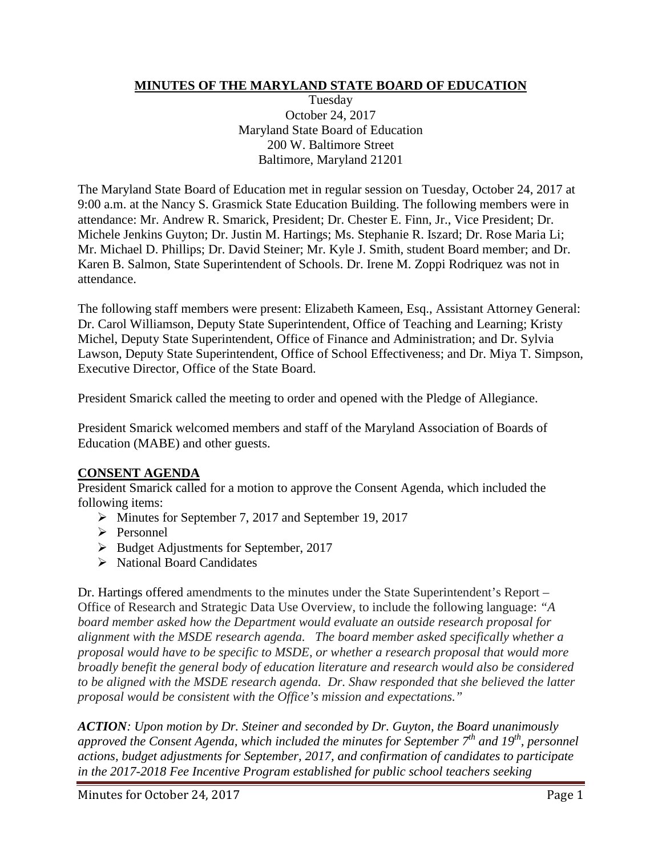## **MINUTES OF THE MARYLAND STATE BOARD OF EDUCATION**

Tuesday October 24, 2017 Maryland State Board of Education 200 W. Baltimore Street Baltimore, Maryland 21201

The Maryland State Board of Education met in regular session on Tuesday, October 24, 2017 at 9:00 a.m. at the Nancy S. Grasmick State Education Building. The following members were in attendance: Mr. Andrew R. Smarick, President; Dr. Chester E. Finn, Jr., Vice President; Dr. Michele Jenkins Guyton; Dr. Justin M. Hartings; Ms. Stephanie R. Iszard; Dr. Rose Maria Li; Mr. Michael D. Phillips; Dr. David Steiner; Mr. Kyle J. Smith, student Board member; and Dr. Karen B. Salmon, State Superintendent of Schools. Dr. Irene M. Zoppi Rodriquez was not in attendance.

The following staff members were present: Elizabeth Kameen, Esq., Assistant Attorney General: Dr. Carol Williamson, Deputy State Superintendent, Office of Teaching and Learning; Kristy Michel, Deputy State Superintendent, Office of Finance and Administration; and Dr. Sylvia Lawson, Deputy State Superintendent, Office of School Effectiveness; and Dr. Miya T. Simpson, Executive Director, Office of the State Board.

President Smarick called the meeting to order and opened with the Pledge of Allegiance.

President Smarick welcomed members and staff of the Maryland Association of Boards of Education (MABE) and other guests.

# **CONSENT AGENDA**

President Smarick called for a motion to approve the Consent Agenda, which included the following items:

- Minutes for September 7, 2017 and September 19, 2017
- $\triangleright$  Personnel
- ▶ Budget Adjustments for September, 2017
- $\triangleright$  National Board Candidates

Dr. Hartings offered amendments to the minutes under the State Superintendent's Report – Office of Research and Strategic Data Use Overview, to include the following language: *"A board member asked how the Department would evaluate an outside research proposal for alignment with the MSDE research agenda. The board member asked specifically whether a proposal would have to be specific to MSDE, or whether a research proposal that would more broadly benefit the general body of education literature and research would also be considered to be aligned with the MSDE research agenda. Dr. Shaw responded that she believed the latter proposal would be consistent with the Office's mission and expectations."*

*ACTION: Upon motion by Dr. Steiner and seconded by Dr. Guyton, the Board unanimously approved the Consent Agenda, which included the minutes for September 7th and 19th, personnel actions, budget adjustments for September, 2017, and confirmation of candidates to participate in the 2017-2018 Fee Incentive Program established for public school teachers seeking*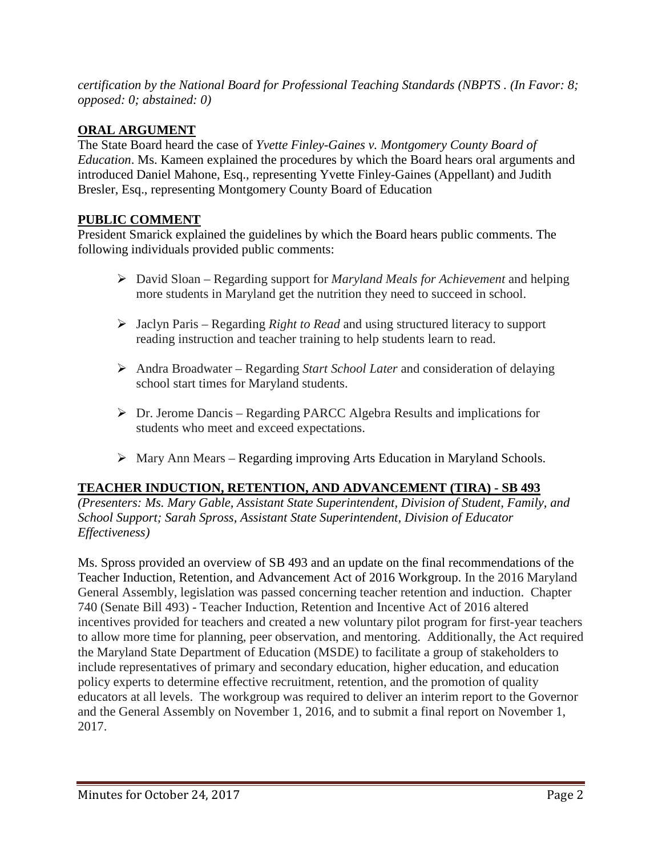*certification by the National Board for Professional Teaching Standards (NBPTS . (In Favor: 8; opposed: 0; abstained: 0)*

# **ORAL ARGUMENT**

The State Board heard the case of *Yvette Finley-Gaines v. Montgomery County Board of Education*. Ms. Kameen explained the procedures by which the Board hears oral arguments and introduced Daniel Mahone, Esq., representing Yvette Finley-Gaines (Appellant) and Judith Bresler, Esq., representing Montgomery County Board of Education

# **PUBLIC COMMENT**

President Smarick explained the guidelines by which the Board hears public comments. The following individuals provided public comments:

- David Sloan Regarding support for *Maryland Meals for Achievement* and helping more students in Maryland get the nutrition they need to succeed in school.
- Jaclyn Paris Regarding *Right to Read* and using structured literacy to support reading instruction and teacher training to help students learn to read.
- Andra Broadwater Regarding *Start School Later* and consideration of delaying school start times for Maryland students.
- $\triangleright$  Dr. Jerome Dancis Regarding PARCC Algebra Results and implications for students who meet and exceed expectations.
- Mary Ann Mears Regarding improving Arts Education in Maryland Schools.

# **TEACHER INDUCTION, RETENTION, AND ADVANCEMENT (TIRA) - SB 493**

*(Presenters: Ms. Mary Gable, Assistant State Superintendent, Division of Student, Family, and School Support; Sarah Spross, Assistant State Superintendent, Division of Educator Effectiveness)*

Ms. Spross provided an overview of SB 493 and an update on the final recommendations of the Teacher Induction, Retention, and Advancement Act of 2016 Workgroup. In the 2016 Maryland General Assembly, legislation was passed concerning teacher retention and induction. Chapter 740 (Senate Bill 493) - Teacher Induction, Retention and Incentive Act of 2016 altered incentives provided for teachers and created a new voluntary pilot program for first-year teachers to allow more time for planning, peer observation, and mentoring. Additionally, the Act required the Maryland State Department of Education (MSDE) to facilitate a group of stakeholders to include representatives of primary and secondary education, higher education, and education policy experts to determine effective recruitment, retention, and the promotion of quality educators at all levels. The workgroup was required to deliver an interim report to the Governor and the General Assembly on November 1, 2016, and to submit a final report on November 1, 2017.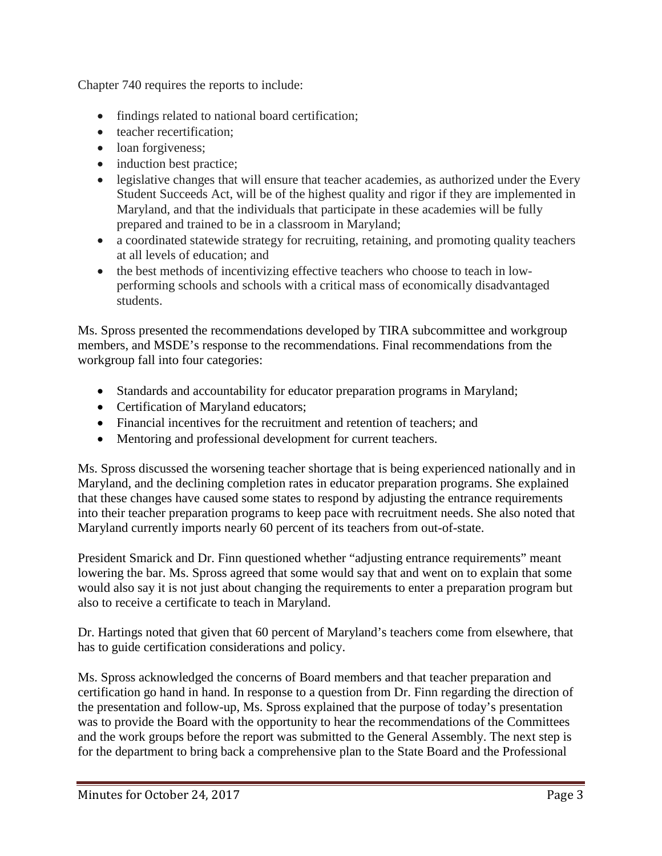Chapter 740 requires the reports to include:

- findings related to national board certification;
- teacher recertification:
- loan forgiveness;
- induction best practice;
- legislative changes that will ensure that teacher academies, as authorized under the Every Student Succeeds Act, will be of the highest quality and rigor if they are implemented in Maryland, and that the individuals that participate in these academies will be fully prepared and trained to be in a classroom in Maryland;
- a coordinated statewide strategy for recruiting, retaining, and promoting quality teachers at all levels of education; and
- the best methods of incentivizing effective teachers who choose to teach in lowperforming schools and schools with a critical mass of economically disadvantaged students.

Ms. Spross presented the recommendations developed by TIRA subcommittee and workgroup members, and MSDE's response to the recommendations. Final recommendations from the workgroup fall into four categories:

- Standards and accountability for educator preparation programs in Maryland;
- Certification of Maryland educators;
- Financial incentives for the recruitment and retention of teachers; and
- Mentoring and professional development for current teachers.

Ms. Spross discussed the worsening teacher shortage that is being experienced nationally and in Maryland, and the declining completion rates in educator preparation programs. She explained that these changes have caused some states to respond by adjusting the entrance requirements into their teacher preparation programs to keep pace with recruitment needs. She also noted that Maryland currently imports nearly 60 percent of its teachers from out-of-state.

President Smarick and Dr. Finn questioned whether "adjusting entrance requirements" meant lowering the bar. Ms. Spross agreed that some would say that and went on to explain that some would also say it is not just about changing the requirements to enter a preparation program but also to receive a certificate to teach in Maryland.

Dr. Hartings noted that given that 60 percent of Maryland's teachers come from elsewhere, that has to guide certification considerations and policy.

Ms. Spross acknowledged the concerns of Board members and that teacher preparation and certification go hand in hand. In response to a question from Dr. Finn regarding the direction of the presentation and follow-up, Ms. Spross explained that the purpose of today's presentation was to provide the Board with the opportunity to hear the recommendations of the Committees and the work groups before the report was submitted to the General Assembly. The next step is for the department to bring back a comprehensive plan to the State Board and the Professional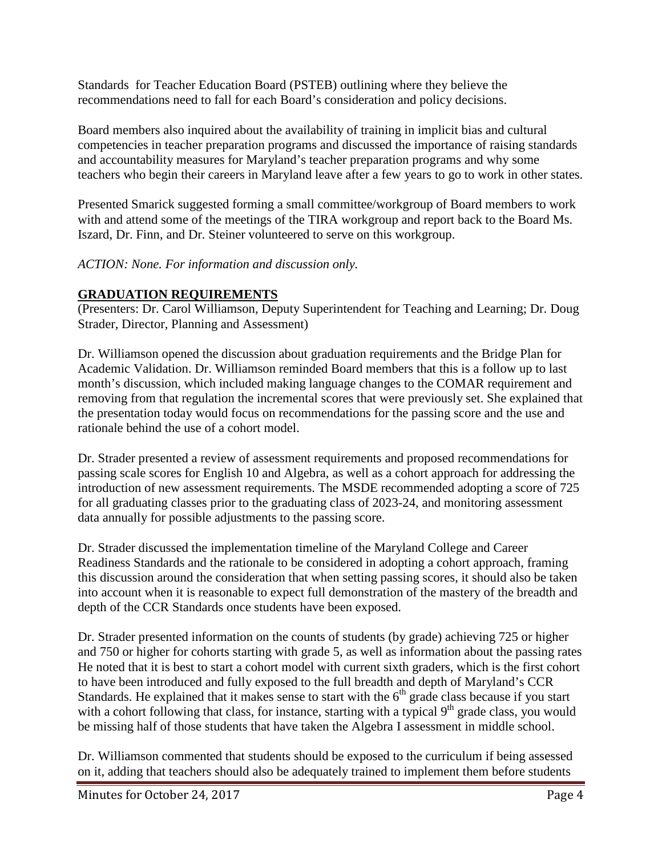Standards for Teacher Education Board (PSTEB) outlining where they believe the recommendations need to fall for each Board's consideration and policy decisions.

Board members also inquired about the availability of training in implicit bias and cultural competencies in teacher preparation programs and discussed the importance of raising standards and accountability measures for Maryland's teacher preparation programs and why some teachers who begin their careers in Maryland leave after a few years to go to work in other states.

Presented Smarick suggested forming a small committee/workgroup of Board members to work with and attend some of the meetings of the TIRA workgroup and report back to the Board Ms. Iszard, Dr. Finn, and Dr. Steiner volunteered to serve on this workgroup.

*ACTION: None. For information and discussion only.*

# **GRADUATION REQUIREMENTS**

(Presenters: Dr. Carol Williamson, Deputy Superintendent for Teaching and Learning; Dr. Doug Strader, Director, Planning and Assessment)

Dr. Williamson opened the discussion about graduation requirements and the Bridge Plan for Academic Validation. Dr. Williamson reminded Board members that this is a follow up to last month's discussion, which included making language changes to the COMAR requirement and removing from that regulation the incremental scores that were previously set. She explained that the presentation today would focus on recommendations for the passing score and the use and rationale behind the use of a cohort model.

Dr. Strader presented a review of assessment requirements and proposed recommendations for passing scale scores for English 10 and Algebra, as well as a cohort approach for addressing the introduction of new assessment requirements. The MSDE recommended adopting a score of 725 for all graduating classes prior to the graduating class of 2023-24, and monitoring assessment data annually for possible adjustments to the passing score.

Dr. Strader discussed the implementation timeline of the Maryland College and Career Readiness Standards and the rationale to be considered in adopting a cohort approach, framing this discussion around the consideration that when setting passing scores, it should also be taken into account when it is reasonable to expect full demonstration of the mastery of the breadth and depth of the CCR Standards once students have been exposed.

Dr. Strader presented information on the counts of students (by grade) achieving 725 or higher and 750 or higher for cohorts starting with grade 5, as well as information about the passing rates He noted that it is best to start a cohort model with current sixth graders, which is the first cohort to have been introduced and fully exposed to the full breadth and depth of Maryland's CCR Standards. He explained that it makes sense to start with the  $6<sup>th</sup>$  grade class because if you start with a cohort following that class, for instance, starting with a typical 9<sup>th</sup> grade class, you would be missing half of those students that have taken the Algebra I assessment in middle school.

Dr. Williamson commented that students should be exposed to the curriculum if being assessed on it, adding that teachers should also be adequately trained to implement them before students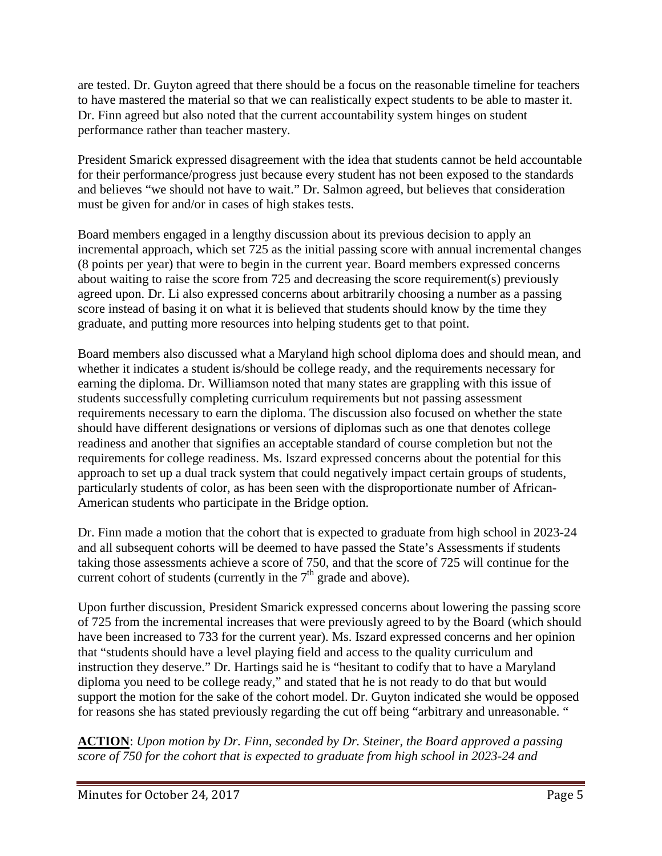are tested. Dr. Guyton agreed that there should be a focus on the reasonable timeline for teachers to have mastered the material so that we can realistically expect students to be able to master it. Dr. Finn agreed but also noted that the current accountability system hinges on student performance rather than teacher mastery.

President Smarick expressed disagreement with the idea that students cannot be held accountable for their performance/progress just because every student has not been exposed to the standards and believes "we should not have to wait." Dr. Salmon agreed, but believes that consideration must be given for and/or in cases of high stakes tests.

Board members engaged in a lengthy discussion about its previous decision to apply an incremental approach, which set 725 as the initial passing score with annual incremental changes (8 points per year) that were to begin in the current year. Board members expressed concerns about waiting to raise the score from 725 and decreasing the score requirement(s) previously agreed upon. Dr. Li also expressed concerns about arbitrarily choosing a number as a passing score instead of basing it on what it is believed that students should know by the time they graduate, and putting more resources into helping students get to that point.

Board members also discussed what a Maryland high school diploma does and should mean, and whether it indicates a student is/should be college ready, and the requirements necessary for earning the diploma. Dr. Williamson noted that many states are grappling with this issue of students successfully completing curriculum requirements but not passing assessment requirements necessary to earn the diploma. The discussion also focused on whether the state should have different designations or versions of diplomas such as one that denotes college readiness and another that signifies an acceptable standard of course completion but not the requirements for college readiness. Ms. Iszard expressed concerns about the potential for this approach to set up a dual track system that could negatively impact certain groups of students, particularly students of color, as has been seen with the disproportionate number of African-American students who participate in the Bridge option.

Dr. Finn made a motion that the cohort that is expected to graduate from high school in 2023-24 and all subsequent cohorts will be deemed to have passed the State's Assessments if students taking those assessments achieve a score of 750, and that the score of 725 will continue for the current cohort of students (currently in the  $7<sup>th</sup>$  grade and above).

Upon further discussion, President Smarick expressed concerns about lowering the passing score of 725 from the incremental increases that were previously agreed to by the Board (which should have been increased to 733 for the current year). Ms. Iszard expressed concerns and her opinion that "students should have a level playing field and access to the quality curriculum and instruction they deserve." Dr. Hartings said he is "hesitant to codify that to have a Maryland diploma you need to be college ready," and stated that he is not ready to do that but would support the motion for the sake of the cohort model. Dr. Guyton indicated she would be opposed for reasons she has stated previously regarding the cut off being "arbitrary and unreasonable. "

**ACTION**: *Upon motion by Dr. Finn, seconded by Dr. Steiner, the Board approved a passing score of 750 for the cohort that is expected to graduate from high school in 2023-24 and*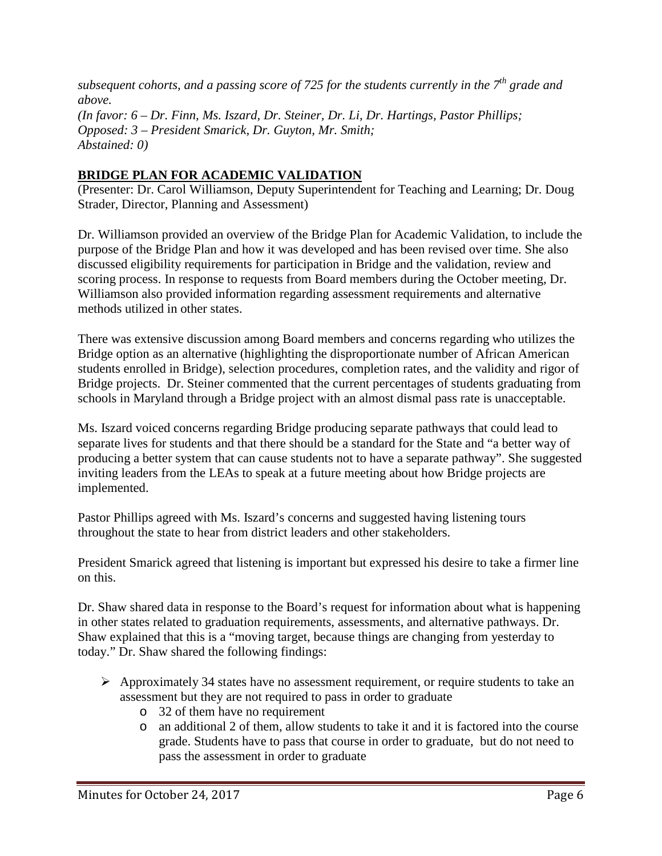*subsequent cohorts, and a passing score of 725 for the students currently in the 7th grade and above. (In favor: 6 – Dr. Finn, Ms. Iszard, Dr. Steiner, Dr. Li, Dr. Hartings, Pastor Phillips; Opposed: 3 – President Smarick, Dr. Guyton, Mr. Smith; Abstained: 0)*

# **BRIDGE PLAN FOR ACADEMIC VALIDATION**

(Presenter: Dr. Carol Williamson, Deputy Superintendent for Teaching and Learning; Dr. Doug Strader, Director, Planning and Assessment)

Dr. Williamson provided an overview of the Bridge Plan for Academic Validation, to include the purpose of the Bridge Plan and how it was developed and has been revised over time. She also discussed eligibility requirements for participation in Bridge and the validation, review and scoring process. In response to requests from Board members during the October meeting, Dr. Williamson also provided information regarding assessment requirements and alternative methods utilized in other states.

There was extensive discussion among Board members and concerns regarding who utilizes the Bridge option as an alternative (highlighting the disproportionate number of African American students enrolled in Bridge), selection procedures, completion rates, and the validity and rigor of Bridge projects. Dr. Steiner commented that the current percentages of students graduating from schools in Maryland through a Bridge project with an almost dismal pass rate is unacceptable.

Ms. Iszard voiced concerns regarding Bridge producing separate pathways that could lead to separate lives for students and that there should be a standard for the State and "a better way of producing a better system that can cause students not to have a separate pathway". She suggested inviting leaders from the LEAs to speak at a future meeting about how Bridge projects are implemented.

Pastor Phillips agreed with Ms. Iszard's concerns and suggested having listening tours throughout the state to hear from district leaders and other stakeholders.

President Smarick agreed that listening is important but expressed his desire to take a firmer line on this.

Dr. Shaw shared data in response to the Board's request for information about what is happening in other states related to graduation requirements, assessments, and alternative pathways. Dr. Shaw explained that this is a "moving target, because things are changing from yesterday to today." Dr. Shaw shared the following findings:

- $\triangleright$  Approximately 34 states have no assessment requirement, or require students to take an assessment but they are not required to pass in order to graduate
	- o 32 of them have no requirement
	- an additional 2 of them, allow students to take it and it is factored into the course grade. Students have to pass that course in order to graduate, but do not need to pass the assessment in order to graduate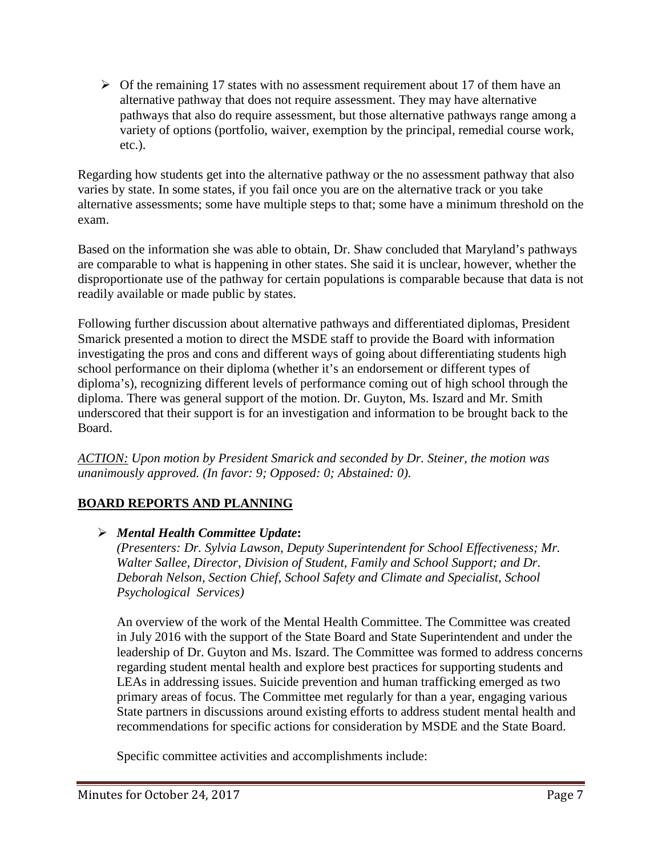$\triangleright$  Of the remaining 17 states with no assessment requirement about 17 of them have an alternative pathway that does not require assessment. They may have alternative pathways that also do require assessment, but those alternative pathways range among a variety of options (portfolio, waiver, exemption by the principal, remedial course work, etc.).

Regarding how students get into the alternative pathway or the no assessment pathway that also varies by state. In some states, if you fail once you are on the alternative track or you take alternative assessments; some have multiple steps to that; some have a minimum threshold on the exam.

Based on the information she was able to obtain, Dr. Shaw concluded that Maryland's pathways are comparable to what is happening in other states. She said it is unclear, however, whether the disproportionate use of the pathway for certain populations is comparable because that data is not readily available or made public by states.

Following further discussion about alternative pathways and differentiated diplomas, President Smarick presented a motion to direct the MSDE staff to provide the Board with information investigating the pros and cons and different ways of going about differentiating students high school performance on their diploma (whether it's an endorsement or different types of diploma's), recognizing different levels of performance coming out of high school through the diploma. There was general support of the motion. Dr. Guyton, Ms. Iszard and Mr. Smith underscored that their support is for an investigation and information to be brought back to the Board.

*ACTION: Upon motion by President Smarick and seconded by Dr. Steiner, the motion was unanimously approved. (In favor: 9; Opposed: 0; Abstained: 0).*

# **BOARD REPORTS AND PLANNING**

# *Mental Health Committee Update***:**

*(Presenters: Dr. Sylvia Lawson, Deputy Superintendent for School Effectiveness; Mr. Walter Sallee, Director, Division of Student, Family and School Support; and Dr. Deborah Nelson, Section Chief, School Safety and Climate and Specialist, School Psychological Services)*

An overview of the work of the Mental Health Committee. The Committee was created in July 2016 with the support of the State Board and State Superintendent and under the leadership of Dr. Guyton and Ms. Iszard. The Committee was formed to address concerns regarding student mental health and explore best practices for supporting students and LEAs in addressing issues. Suicide prevention and human trafficking emerged as two primary areas of focus. The Committee met regularly for than a year, engaging various State partners in discussions around existing efforts to address student mental health and recommendations for specific actions for consideration by MSDE and the State Board.

Specific committee activities and accomplishments include: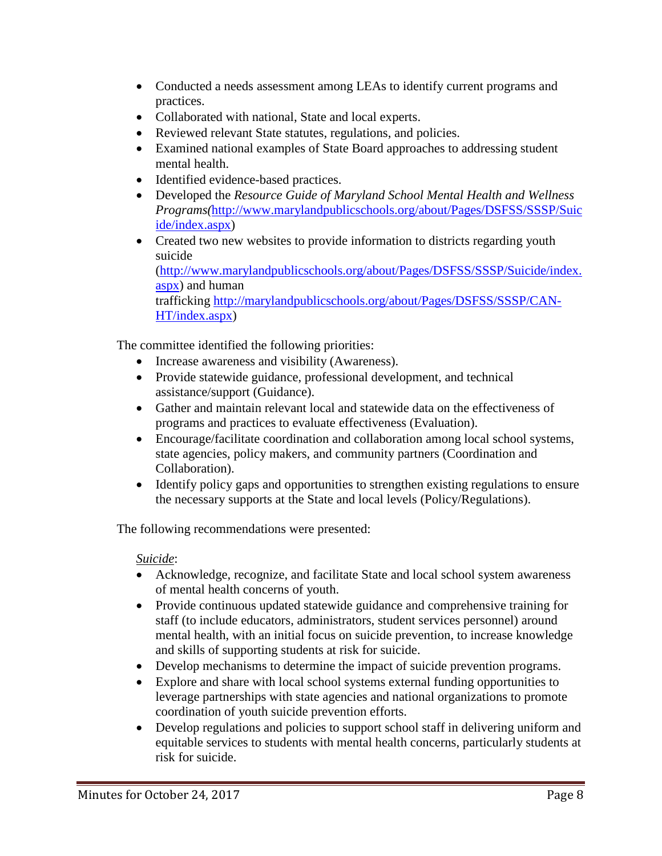- Conducted a needs assessment among LEAs to identify current programs and practices.
- Collaborated with national, State and local experts.
- Reviewed relevant State statutes, regulations, and policies.
- Examined national examples of State Board approaches to addressing student mental health.
- Identified evidence-based practices.
- Developed the *Resource Guide of Maryland School Mental Health and Wellness Programs(*[http://www.marylandpublicschools.org/about/Pages/DSFSS/SSSP/Suic](http://www.marylandpublicschools.org/about/Pages/DSFSS/SSSP/Suicide/index.aspx) [ide/index.aspx\)](http://www.marylandpublicschools.org/about/Pages/DSFSS/SSSP/Suicide/index.aspx)
- Created two new websites to provide information to districts regarding youth suicide [\(http://www.marylandpublicschools.org/about/Pages/DSFSS/SSSP/Suicide/index.](http://www.marylandpublicschools.org/about/Pages/DSFSS/SSSP/Suicide/index.aspx) [aspx\)](http://www.marylandpublicschools.org/about/Pages/DSFSS/SSSP/Suicide/index.aspx) and human trafficking [http://marylandpublicschools.org/about/Pages/DSFSS/SSSP/CAN-](http://marylandpublicschools.org/about/Pages/DSFSS/SSSP/CAN-HT/index.aspx)[HT/index.aspx\)](http://marylandpublicschools.org/about/Pages/DSFSS/SSSP/CAN-HT/index.aspx)

The committee identified the following priorities:

- Increase awareness and visibility (Awareness).
- Provide statewide guidance, professional development, and technical assistance/support (Guidance).
- Gather and maintain relevant local and statewide data on the effectiveness of programs and practices to evaluate effectiveness (Evaluation).
- Encourage/facilitate coordination and collaboration among local school systems, state agencies, policy makers, and community partners (Coordination and Collaboration).
- Identify policy gaps and opportunities to strengthen existing regulations to ensure the necessary supports at the State and local levels (Policy/Regulations).

The following recommendations were presented:

## *Suicide*:

- Acknowledge, recognize, and facilitate State and local school system awareness of mental health concerns of youth.
- Provide continuous updated statewide guidance and comprehensive training for staff (to include educators, administrators, student services personnel) around mental health, with an initial focus on suicide prevention, to increase knowledge and skills of supporting students at risk for suicide.
- Develop mechanisms to determine the impact of suicide prevention programs.
- Explore and share with local school systems external funding opportunities to leverage partnerships with state agencies and national organizations to promote coordination of youth suicide prevention efforts.
- Develop regulations and policies to support school staff in delivering uniform and equitable services to students with mental health concerns, particularly students at risk for suicide.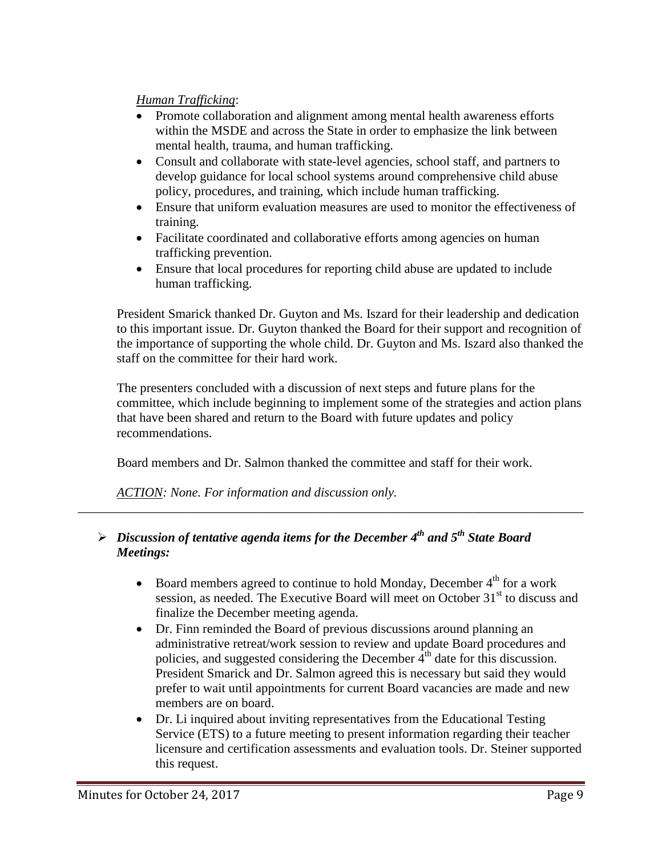## *Human Trafficking*:

- Promote collaboration and alignment among mental health awareness efforts within the MSDE and across the State in order to emphasize the link between mental health, trauma, and human trafficking.
- Consult and collaborate with state-level agencies, school staff, and partners to develop guidance for local school systems around comprehensive child abuse policy, procedures, and training, which include human trafficking.
- Ensure that uniform evaluation measures are used to monitor the effectiveness of training.
- Facilitate coordinated and collaborative efforts among agencies on human trafficking prevention.
- Ensure that local procedures for reporting child abuse are updated to include human trafficking.

President Smarick thanked Dr. Guyton and Ms. Iszard for their leadership and dedication to this important issue. Dr. Guyton thanked the Board for their support and recognition of the importance of supporting the whole child. Dr. Guyton and Ms. Iszard also thanked the staff on the committee for their hard work.

The presenters concluded with a discussion of next steps and future plans for the committee, which include beginning to implement some of the strategies and action plans that have been shared and return to the Board with future updates and policy recommendations.

Board members and Dr. Salmon thanked the committee and staff for their work.

*\_\_\_\_\_\_\_\_\_\_\_\_\_\_\_\_\_\_\_\_\_\_\_\_\_\_\_\_\_\_\_\_\_\_\_\_\_\_\_\_\_\_\_\_\_\_\_\_\_\_\_\_\_\_\_\_\_\_\_\_\_\_\_\_\_\_\_\_\_\_\_\_\_\_\_\_\_\_*

*ACTION: None. For information and discussion only.*

# *Discussion of tentative agenda items for the December 4th and 5th State Board Meetings:*

- Board members agreed to continue to hold Monday, December  $4<sup>th</sup>$  for a work session, as needed. The Executive Board will meet on October 31<sup>st</sup> to discuss and finalize the December meeting agenda.
- Dr. Finn reminded the Board of previous discussions around planning an administrative retreat/work session to review and update Board procedures and policies, and suggested considering the December 4<sup>th</sup> date for this discussion. President Smarick and Dr. Salmon agreed this is necessary but said they would prefer to wait until appointments for current Board vacancies are made and new members are on board.
- Dr. Li inquired about inviting representatives from the Educational Testing Service (ETS) to a future meeting to present information regarding their teacher licensure and certification assessments and evaluation tools. Dr. Steiner supported this request.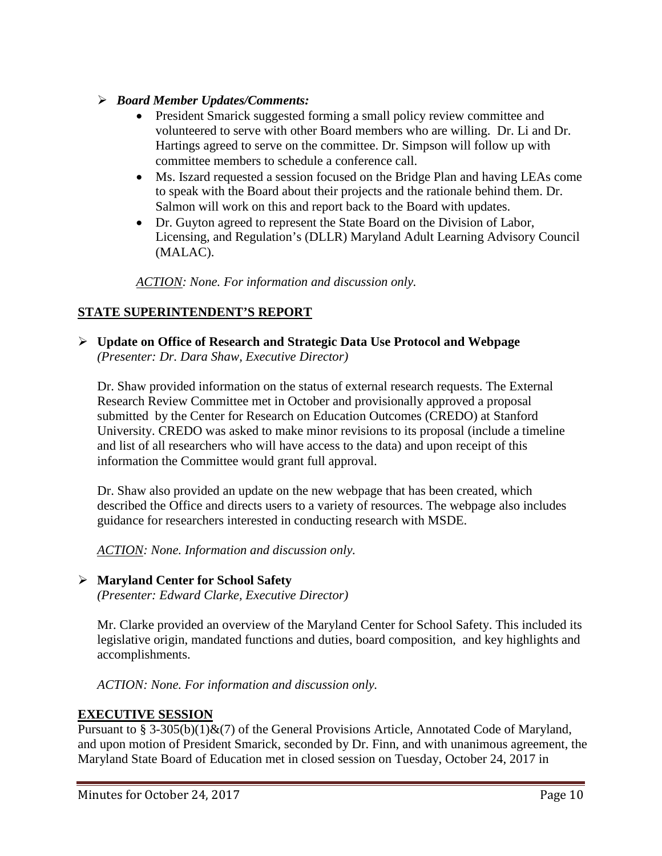## *Board Member Updates/Comments:*

- President Smarick suggested forming a small policy review committee and volunteered to serve with other Board members who are willing. Dr. Li and Dr. Hartings agreed to serve on the committee. Dr. Simpson will follow up with committee members to schedule a conference call.
- Ms. Iszard requested a session focused on the Bridge Plan and having LEAs come to speak with the Board about their projects and the rationale behind them. Dr. Salmon will work on this and report back to the Board with updates.
- Dr. Guyton agreed to represent the State Board on the Division of Labor, Licensing, and Regulation's (DLLR) Maryland Adult Learning Advisory Council (MALAC).

*ACTION: None. For information and discussion only.*

# **STATE SUPERINTENDENT'S REPORT**

 **Update on Office of Research and Strategic Data Use Protocol and Webpage** *(Presenter: Dr. Dara Shaw, Executive Director)*

Dr. Shaw provided information on the status of external research requests. The External Research Review Committee met in October and provisionally approved a proposal submitted by the Center for Research on Education Outcomes (CREDO) at Stanford University. CREDO was asked to make minor revisions to its proposal (include a timeline and list of all researchers who will have access to the data) and upon receipt of this information the Committee would grant full approval.

Dr. Shaw also provided an update on the new webpage that has been created, which described the Office and directs users to a variety of resources. The webpage also includes guidance for researchers interested in conducting research with MSDE.

*ACTION: None. Information and discussion only.*

## **Maryland Center for School Safety**

*(Presenter: Edward Clarke, Executive Director)*

Mr. Clarke provided an overview of the Maryland Center for School Safety. This included its legislative origin, mandated functions and duties, board composition, and key highlights and accomplishments.

*ACTION: None. For information and discussion only.*

# **EXECUTIVE SESSION**

Pursuant to § 3-305(b)(1) $\&$ (7) of the General Provisions Article, Annotated Code of Maryland, and upon motion of President Smarick, seconded by Dr. Finn, and with unanimous agreement, the Maryland State Board of Education met in closed session on Tuesday, October 24, 2017 in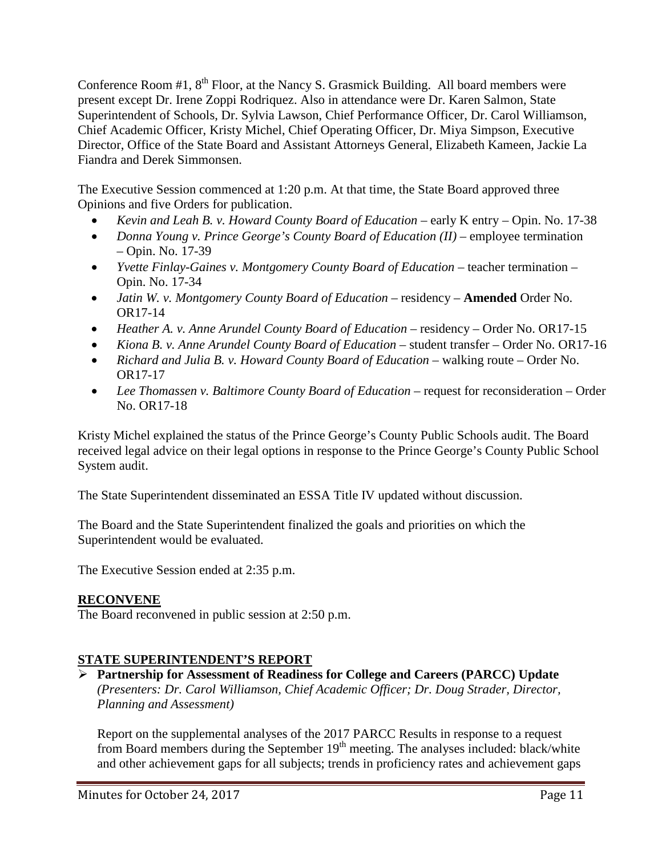Conference Room  $#1, 8$ <sup>th</sup> Floor, at the Nancy S. Grasmick Building. All board members were present except Dr. Irene Zoppi Rodriquez. Also in attendance were Dr. Karen Salmon, State Superintendent of Schools, Dr. Sylvia Lawson, Chief Performance Officer, Dr. Carol Williamson, Chief Academic Officer, Kristy Michel, Chief Operating Officer, Dr. Miya Simpson, Executive Director, Office of the State Board and Assistant Attorneys General, Elizabeth Kameen, Jackie La Fiandra and Derek Simmonsen.

The Executive Session commenced at 1:20 p.m. At that time, the State Board approved three Opinions and five Orders for publication.

- *Kevin and Leah B. v. Howard County Board of Education –* early K entry Opin. No. 17-38
- *Donna Young v. Prince George's County Board of Education (II)* employee termination – Opin. No. 17-39
- *Yvette Finlay-Gaines v. Montgomery County Board of Education –* teacher termination Opin. No. 17-34
- *Jatin W. v. Montgomery County Board of Education –* residency **Amended** Order No. OR17-14
- *Heather A. v. Anne Arundel County Board of Education –* residency Order No. OR17-15
- *Kiona B. v. Anne Arundel County Board of Education –* student transfer Order No. OR17-16
- *Richard and Julia B. v. Howard County Board of Education –* walking route Order No. OR17-17
- *Lee Thomassen v. Baltimore County Board of Education –* request for reconsideration Order No. OR17-18

Kristy Michel explained the status of the Prince George's County Public Schools audit. The Board received legal advice on their legal options in response to the Prince George's County Public School System audit.

The State Superintendent disseminated an ESSA Title IV updated without discussion.

The Board and the State Superintendent finalized the goals and priorities on which the Superintendent would be evaluated.

The Executive Session ended at 2:35 p.m.

# **RECONVENE**

The Board reconvened in public session at 2:50 p.m.

# **STATE SUPERINTENDENT'S REPORT**

 **Partnership for Assessment of Readiness for College and Careers (PARCC) Update** *(Presenters: Dr. Carol Williamson, Chief Academic Officer; Dr. Doug Strader, Director, Planning and Assessment)*

Report on the supplemental analyses of the 2017 PARCC Results in response to a request from Board members during the September  $19<sup>th</sup>$  meeting. The analyses included: black/white and other achievement gaps for all subjects; trends in proficiency rates and achievement gaps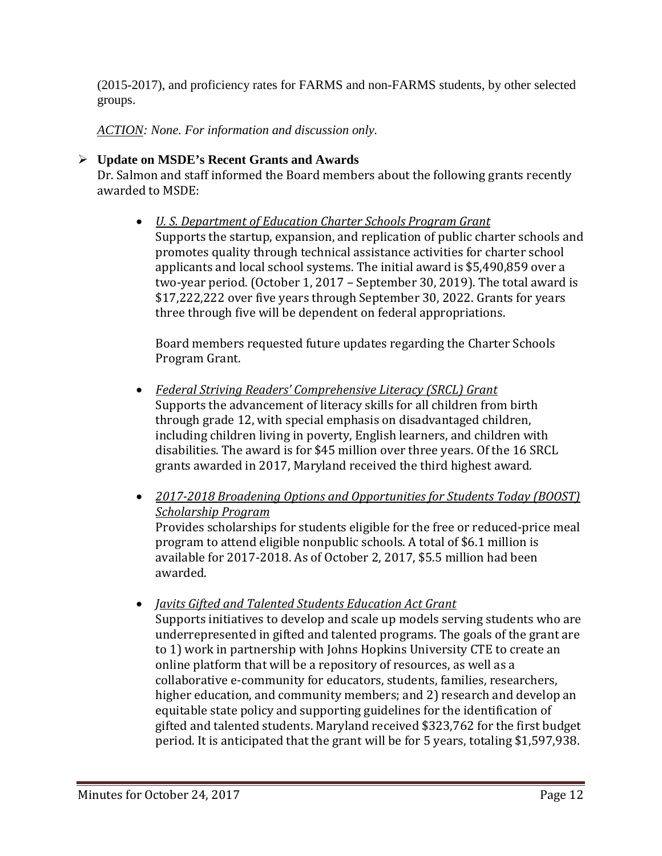(2015-2017), and proficiency rates for FARMS and non-FARMS students, by other selected groups.

*ACTION: None. For information and discussion only.*

# **Update on MSDE's Recent Grants and Awards**

Dr. Salmon and staff informed the Board members about the following grants recently awarded to MSDE:

• *U. S. Department of Education Charter Schools Program Grant* Supports the startup, expansion, and replication of public charter schools and promotes quality through technical assistance activities for charter school applicants and local school systems. The initial award is \$5,490,859 over a two-year period. (October 1, 2017 – September 30, 2019). The total award is \$17,222,222 over five years through September 30, 2022. Grants for years three through five will be dependent on federal appropriations.

Board members requested future updates regarding the Charter Schools Program Grant.

- *Federal Striving Readers' Comprehensive Literacy (SRCL) Grant* Supports the advancement of literacy skills for all children from birth through grade 12, with special emphasis on disadvantaged children, including children living in poverty, English learners, and children with disabilities. The award is for \$45 million over three years. Of the 16 SRCL grants awarded in 2017, Maryland received the third highest award.
- *2017-2018 Broadening Options and Opportunities for Students Today (BOOST) Scholarship Program* Provides scholarships for students eligible for the free or reduced-price meal program to attend eligible nonpublic schools. A total of \$6.1 million is available for 2017-2018. As of October 2, 2017, \$5.5 million had been awarded.
- *Javits Gifted and Talented Students Education Act Grant* Supports initiatives to develop and scale up models serving students who are underrepresented in gifted and talented programs. The goals of the grant are to 1) work in partnership with Johns Hopkins University CTE to create an online platform that will be a repository of resources, as well as a collaborative e-community for educators, students, families, researchers, higher education, and community members; and 2) research and develop an equitable state policy and supporting guidelines for the identification of gifted and talented students. Maryland received \$323,762 for the first budget period. It is anticipated that the grant will be for 5 years, totaling \$1,597,938.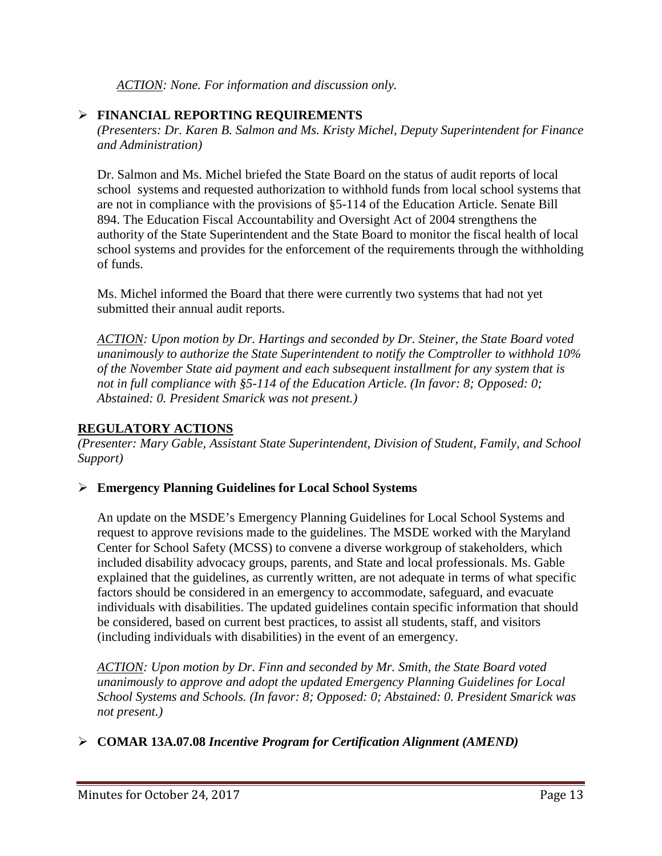*ACTION: None. For information and discussion only.* 

# **FINANCIAL REPORTING REQUIREMENTS**

*(Presenters: Dr. Karen B. Salmon and Ms. Kristy Michel, Deputy Superintendent for Finance and Administration)*

Dr. Salmon and Ms. Michel briefed the State Board on the status of audit reports of local school systems and requested authorization to withhold funds from local school systems that are not in compliance with the provisions of §5-114 of the Education Article. Senate Bill 894. The Education Fiscal Accountability and Oversight Act of 2004 strengthens the authority of the State Superintendent and the State Board to monitor the fiscal health of local school systems and provides for the enforcement of the requirements through the withholding of funds.

Ms. Michel informed the Board that there were currently two systems that had not yet submitted their annual audit reports.

*ACTION: Upon motion by Dr. Hartings and seconded by Dr. Steiner, the State Board voted unanimously to authorize the State Superintendent to notify the Comptroller to withhold 10% of the November State aid payment and each subsequent installment for any system that is not in full compliance with §5-114 of the Education Article. (In favor: 8; Opposed: 0; Abstained: 0. President Smarick was not present.)*

## **REGULATORY ACTIONS**

*(Presenter: Mary Gable, Assistant State Superintendent, Division of Student, Family, and School Support)*

## **Emergency Planning Guidelines for Local School Systems**

An update on the MSDE's Emergency Planning Guidelines for Local School Systems and request to approve revisions made to the guidelines. The MSDE worked with the Maryland Center for School Safety (MCSS) to convene a diverse workgroup of stakeholders, which included disability advocacy groups, parents, and State and local professionals. Ms. Gable explained that the guidelines, as currently written, are not adequate in terms of what specific factors should be considered in an emergency to accommodate, safeguard, and evacuate individuals with disabilities. The updated guidelines contain specific information that should be considered, based on current best practices, to assist all students, staff, and visitors (including individuals with disabilities) in the event of an emergency.

*ACTION: Upon motion by Dr. Finn and seconded by Mr. Smith, the State Board voted unanimously to approve and adopt the updated Emergency Planning Guidelines for Local School Systems and Schools. (In favor: 8; Opposed: 0; Abstained: 0. President Smarick was not present.)*

# **COMAR 13A.07.08** *Incentive Program for Certification Alignment (AMEND)*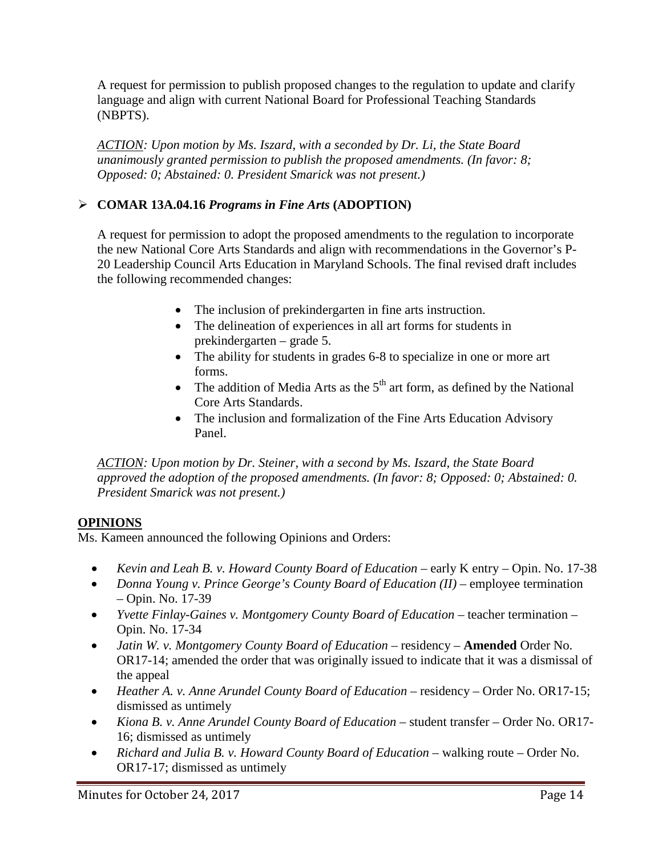A request for permission to publish proposed changes to the regulation to update and clarify language and align with current National Board for Professional Teaching Standards (NBPTS).

*ACTION: Upon motion by Ms. Iszard, with a seconded by Dr. Li, the State Board unanimously granted permission to publish the proposed amendments. (In favor: 8; Opposed: 0; Abstained: 0. President Smarick was not present.)*

# **COMAR 13A.04.16** *Programs in Fine Arts* **(ADOPTION)**

A request for permission to adopt the proposed amendments to the regulation to incorporate the new National Core Arts Standards and align with recommendations in the Governor's P-20 Leadership Council Arts Education in Maryland Schools. The final revised draft includes the following recommended changes:

- The inclusion of prekindergarten in fine arts instruction.
- The delineation of experiences in all art forms for students in prekindergarten – grade 5.
- The ability for students in grades 6-8 to specialize in one or more art forms.
- The addition of Media Arts as the  $5<sup>th</sup>$  art form, as defined by the National Core Arts Standards.
- The inclusion and formalization of the Fine Arts Education Advisory Panel.

*ACTION: Upon motion by Dr. Steiner, with a second by Ms. Iszard, the State Board approved the adoption of the proposed amendments. (In favor: 8; Opposed: 0; Abstained: 0. President Smarick was not present.)*

# **OPINIONS**

Ms. Kameen announced the following Opinions and Orders:

- *Kevin and Leah B. v. Howard County Board of Education* early K entry Opin. No. 17-38
- *Donna Young v. Prince George's County Board of Education (II)* employee termination – Opin. No. 17-39
- *Yvette Finlay-Gaines v. Montgomery County Board of Education –* teacher termination Opin. No. 17-34
- *Jatin W. v. Montgomery County Board of Education –* residency **Amended** Order No. OR17-14; amended the order that was originally issued to indicate that it was a dismissal of the appeal
- *Heather A. v. Anne Arundel County Board of Education –* residency Order No. OR17-15; dismissed as untimely
- *Kiona B. v. Anne Arundel County Board of Education –* student transfer Order No. OR17- 16; dismissed as untimely
- *Richard and Julia B. v. Howard County Board of Education –* walking route Order No. OR17-17; dismissed as untimely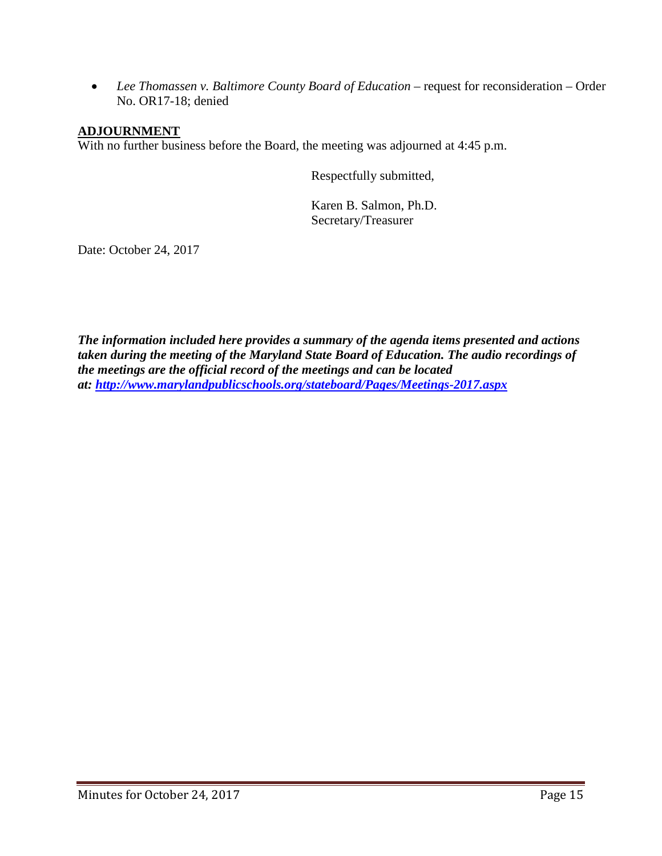• *Lee Thomassen v. Baltimore County Board of Education –* request for reconsideration – Order No. OR17-18; denied

## **ADJOURNMENT**

With no further business before the Board, the meeting was adjourned at 4:45 p.m.

Respectfully submitted,

Karen B. Salmon, Ph.D. Secretary/Treasurer

Date: October 24, 2017

*The information included here provides a summary of the agenda items presented and actions taken during the meeting of the Maryland State Board of Education. The audio recordings of the meetings are the official record of the meetings and can be located at:<http://www.marylandpublicschools.org/stateboard/Pages/Meetings-2017.aspx>*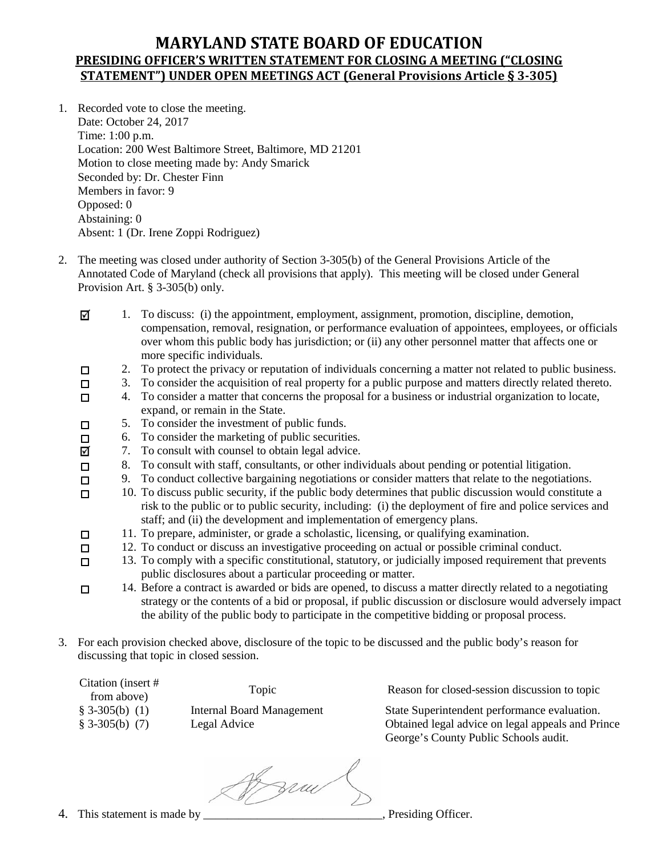# **MARYLAND STATE BOARD OF EDUCATION PRESIDING OFFICER'S WRITTEN STATEMENT FOR CLOSING A MEETING ("CLOSING STATEMENT") UNDER OPEN MEETINGS ACT (General Provisions Article § 3-305)**

- 1. Recorded vote to close the meeting. Date: October 24, 2017 Time: 1:00 p.m. Location: 200 West Baltimore Street, Baltimore, MD 21201 Motion to close meeting made by: Andy Smarick Seconded by: Dr. Chester Finn Members in favor: 9 Opposed: 0 Abstaining: 0 Absent: 1 (Dr. Irene Zoppi Rodriguez)
- 2. The meeting was closed under authority of Section 3-305(b) of the General Provisions Article of the Annotated Code of Maryland (check all provisions that apply). This meeting will be closed under General Provision Art. § 3-305(b) only.
	- 1. To discuss: (i) the appointment, employment, assignment, promotion, discipline, demotion, ☑ compensation, removal, resignation, or performance evaluation of appointees, employees, or officials over whom this public body has jurisdiction; or (ii) any other personnel matter that affects one or more specific individuals.
	- 2. To protect the privacy or reputation of individuals concerning a matter not related to public business.  $\Box$
	- 3. To consider the acquisition of real property for a public purpose and matters directly related thereto.  $\Box$
	- 4. To consider a matter that concerns the proposal for a business or industrial organization to locate,  $\Box$ expand, or remain in the State.
	- 5. To consider the investment of public funds.  $\Box$ 
		- 6. To consider the marketing of public securities.
		- 7. To consult with counsel to obtain legal advice.
		- 8. To consult with staff, consultants, or other individuals about pending or potential litigation.
		- 9. To conduct collective bargaining negotiations or consider matters that relate to the negotiations.
	- 10. To discuss public security, if the public body determines that public discussion would constitute a  $\Box$ risk to the public or to public security, including: (i) the deployment of fire and police services and staff; and (ii) the development and implementation of emergency plans.
	- 11. To prepare, administer, or grade a scholastic, licensing, or qualifying examination.  $\Box$
	- 12. To conduct or discuss an investigative proceeding on actual or possible criminal conduct.  $\Box$
	- 13. To comply with a specific constitutional, statutory, or judicially imposed requirement that prevents  $\Box$ public disclosures about a particular proceeding or matter.
	- 14. Before a contract is awarded or bids are opened, to discuss a matter directly related to a negotiating  $\Box$ strategy or the contents of a bid or proposal, if public discussion or disclosure would adversely impact the ability of the public body to participate in the competitive bidding or proposal process.
- 3. For each provision checked above, disclosure of the topic to be discussed and the public body's reason for discussing that topic in closed session.

| Citation (insert # |  |
|--------------------|--|
| from above)        |  |
| $$3-305(b)$ (1)    |  |
| $§ 3-305(b) (7)$   |  |

 $\Box$ ☑  $\Box$  $\Box$ 

Topic Reason for closed-session discussion to topic

§ 3-305(b) (1) Internal Board Management State Superintendent performance evaluation. § 3-305(b) (7) Legal Advice Obtained legal advice on legal appeals and Prince George's County Public Schools audit.

ff zrau

4. This statement is made by \_\_\_\_\_\_\_\_\_\_\_\_\_\_\_\_\_\_\_\_\_\_\_\_\_\_\_\_\_\_, Presiding Officer.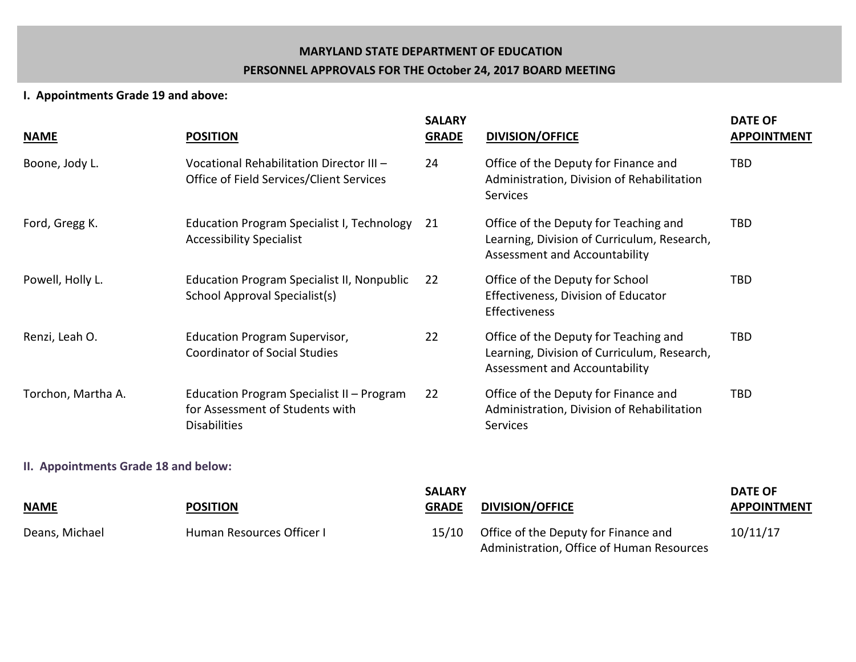#### **MARYLAND STATE DEPARTMENT OF EDUCATION**

#### **PERSONNEL APPROVALS FOR THE October 24, 2017 BOARD MEETING**

#### **I. Appointments Grade 19 and above:**

| <b>NAME</b>                          | <b>POSITION</b>                                                                                     | <b>SALARY</b><br><b>GRADE</b> | <b>DIVISION/OFFICE</b>                                                                                                | <b>DATE OF</b><br><b>APPOINTMENT</b> |
|--------------------------------------|-----------------------------------------------------------------------------------------------------|-------------------------------|-----------------------------------------------------------------------------------------------------------------------|--------------------------------------|
| Boone, Jody L.                       | Vocational Rehabilitation Director III -<br>Office of Field Services/Client Services                | 24                            | Office of the Deputy for Finance and<br>Administration, Division of Rehabilitation<br>Services                        | <b>TBD</b>                           |
| Ford, Gregg K.                       | Education Program Specialist I, Technology<br><b>Accessibility Specialist</b>                       | 21                            | Office of the Deputy for Teaching and<br>Learning, Division of Curriculum, Research,<br>Assessment and Accountability | <b>TBD</b>                           |
| Powell, Holly L.                     | <b>Education Program Specialist II, Nonpublic</b><br>School Approval Specialist(s)                  | 22                            | Office of the Deputy for School<br>Effectiveness, Division of Educator<br>Effectiveness                               | <b>TBD</b>                           |
| Renzi, Leah O.                       | <b>Education Program Supervisor,</b><br><b>Coordinator of Social Studies</b>                        | 22                            | Office of the Deputy for Teaching and<br>Learning, Division of Curriculum, Research,<br>Assessment and Accountability | <b>TBD</b>                           |
| Torchon, Martha A.                   | Education Program Specialist II - Program<br>for Assessment of Students with<br><b>Disabilities</b> | 22                            | Office of the Deputy for Finance and<br>Administration, Division of Rehabilitation<br>Services                        | <b>TBD</b>                           |
| II. Appointments Grade 18 and below: |                                                                                                     |                               |                                                                                                                       |                                      |
|                                      |                                                                                                     | <b>SALARY</b>                 |                                                                                                                       | <b>DATE OF</b>                       |

| NAME           | <b>POSITION</b>           | <b>GRADE</b> | <b>DIVISION/OFFICE</b>                    | <b>APPOINTMENT</b> |
|----------------|---------------------------|--------------|-------------------------------------------|--------------------|
| Deans, Michael | Human Resources Officer I | 15/10        | Office of the Deputy for Finance and      | 10/11/17           |
|                |                           |              | Administration, Office of Human Resources |                    |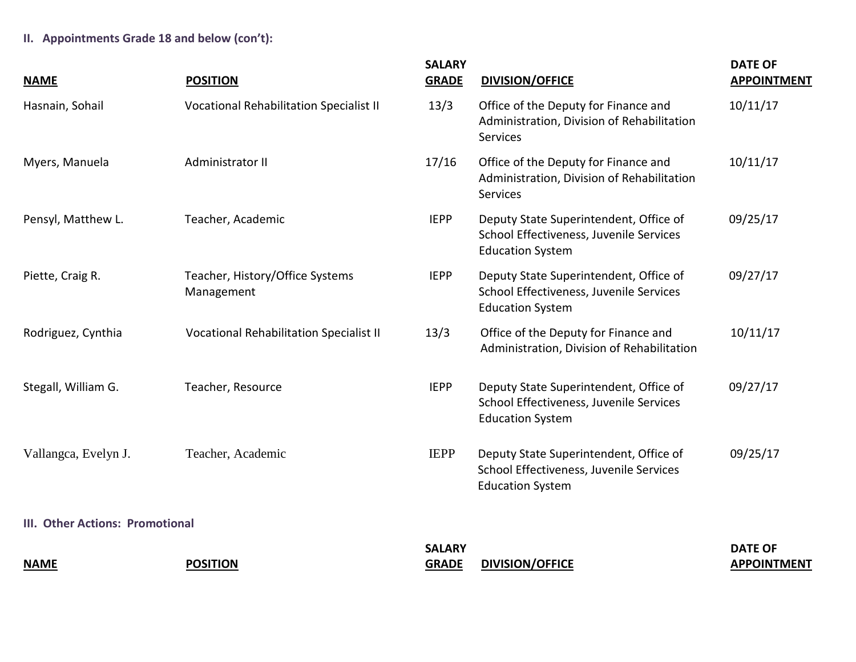**II. Appointments Grade 18 and below (con't):**

| <b>NAME</b>                     | <b>POSITION</b>                               | <b>SALARY</b><br><b>GRADE</b> | <b>DIVISION/OFFICE</b>                                                                                       | <b>DATE OF</b><br><b>APPOINTMENT</b> |
|---------------------------------|-----------------------------------------------|-------------------------------|--------------------------------------------------------------------------------------------------------------|--------------------------------------|
| Hasnain, Sohail                 | Vocational Rehabilitation Specialist II       | 13/3                          | Office of the Deputy for Finance and<br>Administration, Division of Rehabilitation<br><b>Services</b>        | 10/11/17                             |
| Myers, Manuela                  | Administrator II                              | 17/16                         | Office of the Deputy for Finance and<br>Administration, Division of Rehabilitation<br><b>Services</b>        | 10/11/17                             |
| Pensyl, Matthew L.              | Teacher, Academic                             | <b>IEPP</b>                   | Deputy State Superintendent, Office of<br>School Effectiveness, Juvenile Services<br><b>Education System</b> | 09/25/17                             |
| Piette, Craig R.                | Teacher, History/Office Systems<br>Management | <b>IEPP</b>                   | Deputy State Superintendent, Office of<br>School Effectiveness, Juvenile Services<br><b>Education System</b> | 09/27/17                             |
| Rodriguez, Cynthia              | Vocational Rehabilitation Specialist II       | 13/3                          | Office of the Deputy for Finance and<br>Administration, Division of Rehabilitation                           | 10/11/17                             |
| Stegall, William G.             | Teacher, Resource                             | <b>IEPP</b>                   | Deputy State Superintendent, Office of<br>School Effectiveness, Juvenile Services<br><b>Education System</b> | 09/27/17                             |
| Vallangca, Evelyn J.            | Teacher, Academic                             | <b>IEPP</b>                   | Deputy State Superintendent, Office of<br>School Effectiveness, Juvenile Services<br><b>Education System</b> | 09/25/17                             |
| III. Other Actions: Promotional |                                               |                               |                                                                                                              |                                      |
| <b>NAME</b>                     | <b>POSITION</b>                               | <b>SALARY</b><br><b>GRADE</b> | <b>DIVISION/OFFICE</b>                                                                                       | <b>DATE OF</b><br><b>APPOINTMENT</b> |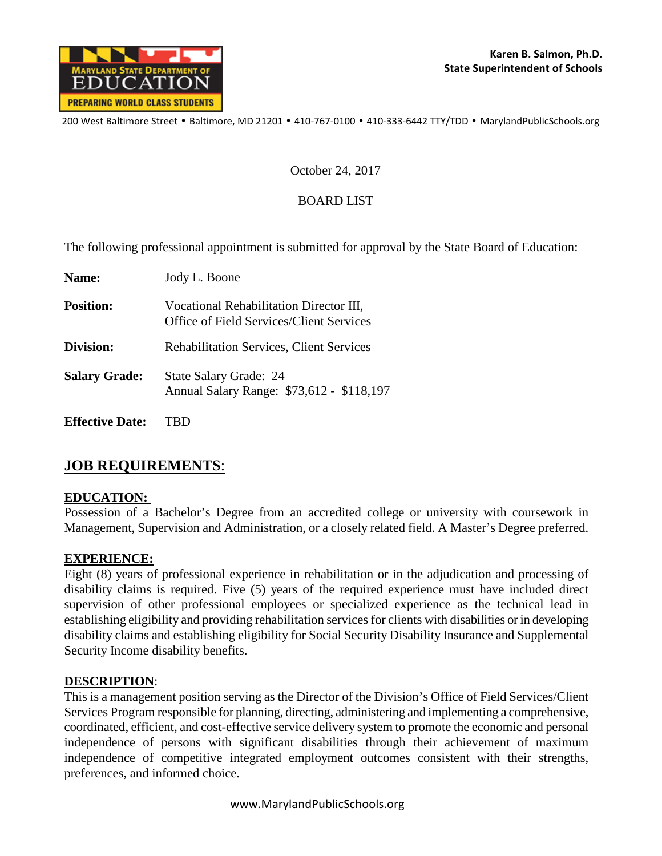

200 West Baltimore Street • Baltimore, MD 21201 • 410-767-0100 • 410-333-6442 TTY/TDD • MarylandPublicSchools.org

#### October 24, 2017

## BOARD LIST

The following professional appointment is submitted for approval by the State Board of Education:

| Name:                  | Jody L. Boone                                                                       |
|------------------------|-------------------------------------------------------------------------------------|
| <b>Position:</b>       | Vocational Rehabilitation Director III,<br>Office of Field Services/Client Services |
| Division:              | <b>Rehabilitation Services, Client Services</b>                                     |
| <b>Salary Grade:</b>   | State Salary Grade: 24<br>Annual Salary Range: \$73,612 - \$118,197                 |
| <b>Effective Date:</b> |                                                                                     |

# **JOB REQUIREMENTS**:

#### **EDUCATION:**

Possession of a Bachelor's Degree from an accredited college or university with coursework in Management, Supervision and Administration, or a closely related field. A Master's Degree preferred.

## **EXPERIENCE:**

Eight (8) years of professional experience in rehabilitation or in the adjudication and processing of disability claims is required. Five (5) years of the required experience must have included direct supervision of other professional employees or specialized experience as the technical lead in establishing eligibility and providing rehabilitation services for clients with disabilities or in developing disability claims and establishing eligibility for Social Security Disability Insurance and Supplemental Security Income disability benefits.

#### **DESCRIPTION**:

This is a management position serving as the Director of the Division's Office of Field Services/Client Services Program responsible for planning, directing, administering and implementing a comprehensive, coordinated, efficient, and cost-effective service delivery system to promote the economic and personal independence of persons with significant disabilities through their achievement of maximum independence of competitive integrated employment outcomes consistent with their strengths, preferences, and informed choice.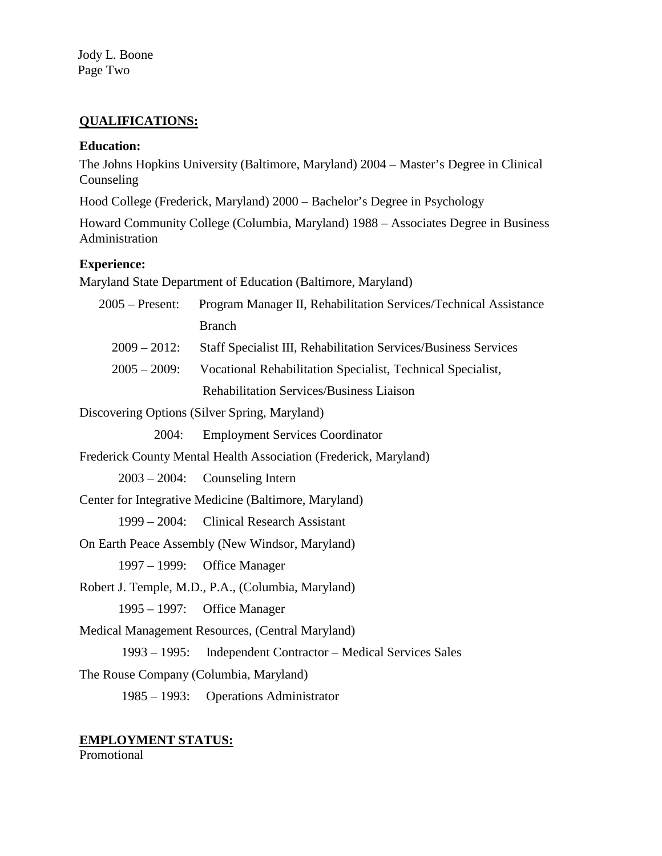Jody L. Boone Page Two

## **QUALIFICATIONS:**

#### **Education:**

The Johns Hopkins University (Baltimore, Maryland) 2004 – Master's Degree in Clinical Counseling

Hood College (Frederick, Maryland) 2000 – Bachelor's Degree in Psychology

Howard Community College (Columbia, Maryland) 1988 – Associates Degree in Business Administration

# **Experience:**

Maryland State Department of Education (Baltimore, Maryland)

| $2005$ – Present:                      | Program Manager II, Rehabilitation Services/Technical Assistance |
|----------------------------------------|------------------------------------------------------------------|
|                                        | <b>Branch</b>                                                    |
| $2009 - 2012$ :                        | Staff Specialist III, Rehabilitation Services/Business Services  |
| $2005 - 2009$ :                        | Vocational Rehabilitation Specialist, Technical Specialist,      |
|                                        | <b>Rehabilitation Services/Business Liaison</b>                  |
|                                        | Discovering Options (Silver Spring, Maryland)                    |
| 2004:                                  | <b>Employment Services Coordinator</b>                           |
|                                        | Frederick County Mental Health Association (Frederick, Maryland) |
|                                        | $2003 - 2004$ : Counseling Intern                                |
|                                        | Center for Integrative Medicine (Baltimore, Maryland)            |
|                                        | 1999 – 2004: Clinical Research Assistant                         |
|                                        | On Earth Peace Assembly (New Windsor, Maryland)                  |
|                                        | 1997 – 1999: Office Manager                                      |
|                                        | Robert J. Temple, M.D., P.A., (Columbia, Maryland)               |
|                                        | 1995 – 1997: Office Manager                                      |
|                                        | Medical Management Resources, (Central Maryland)                 |
|                                        | 1993 – 1995: Independent Contractor – Medical Services Sales     |
| The Rouse Company (Columbia, Maryland) |                                                                  |
|                                        | 1985 – 1993: Operations Administrator                            |
|                                        |                                                                  |

# **EMPLOYMENT STATUS:**

Promotional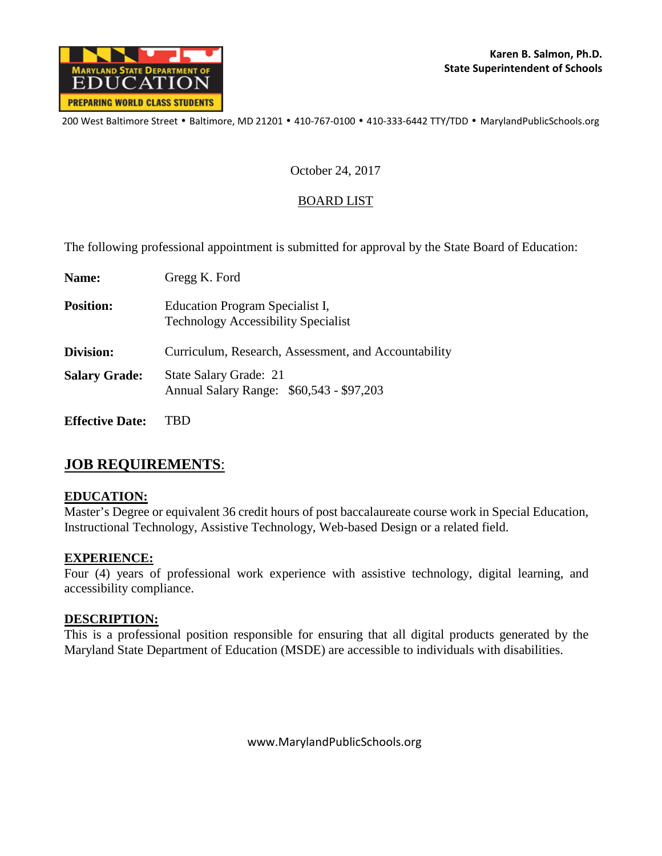

200 West Baltimore Street • Baltimore, MD 21201 • 410-767-0100 • 410-333-6442 TTY/TDD • MarylandPublicSchools.org

### October 24, 2017

## BOARD LIST

The following professional appointment is submitted for approval by the State Board of Education:

| Name:                  | Gregg K. Ford                                                                 |
|------------------------|-------------------------------------------------------------------------------|
| <b>Position:</b>       | Education Program Specialist I,<br><b>Technology Accessibility Specialist</b> |
| Division:              | Curriculum, Research, Assessment, and Accountability                          |
| <b>Salary Grade:</b>   | State Salary Grade: 21<br>Annual Salary Range: \$60,543 - \$97,203            |
| <b>Effective Date:</b> |                                                                               |

# **JOB REQUIREMENTS**:

## **EDUCATION:**

Master's Degree or equivalent 36 credit hours of post baccalaureate course work in Special Education, Instructional Technology, Assistive Technology, Web-based Design or a related field.

#### **EXPERIENCE:**

Four (4) years of professional work experience with assistive technology, digital learning, and accessibility compliance.

#### **DESCRIPTION:**

This is a professional position responsible for ensuring that all digital products generated by the Maryland State Department of Education (MSDE) are accessible to individuals with disabilities.

www.MarylandPublicSchools.org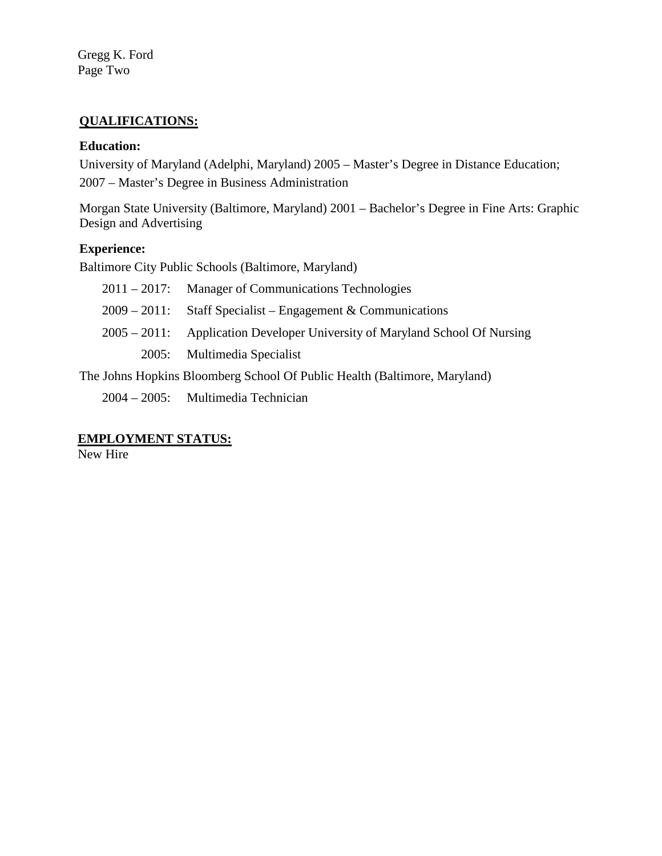Gregg K. Ford Page Two

## **QUALIFICATIONS:**

## **Education:**

University of Maryland (Adelphi, Maryland) 2005 – Master's Degree in Distance Education; 2007 – Master's Degree in Business Administration

Morgan State University (Baltimore, Maryland) 2001 – Bachelor's Degree in Fine Arts: Graphic Design and Advertising

## **Experience:**

Baltimore City Public Schools (Baltimore, Maryland)

| $2011 - 2017$ : Manager of Communications Technologies                      |
|-----------------------------------------------------------------------------|
| $2009 - 2011$ : Staff Specialist – Engagement & Communications              |
| 2005 – 2011: Application Developer University of Maryland School Of Nursing |
| 2005: Multimedia Specialist                                                 |

The Johns Hopkins Bloomberg School Of Public Health (Baltimore, Maryland)

2004 – 2005: Multimedia Technician

## **EMPLOYMENT STATUS:**

New Hire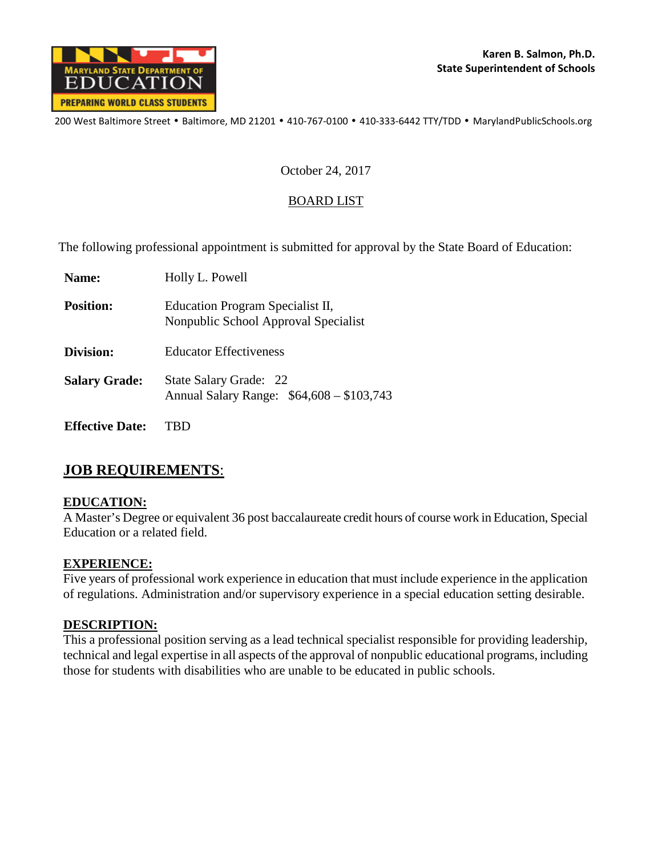

200 West Baltimore Street • Baltimore, MD 21201 • 410-767-0100 • 410-333-6442 TTY/TDD • MarylandPublicSchools.org

### October 24, 2017

### BOARD LIST

The following professional appointment is submitted for approval by the State Board of Education:

| Name:                  | Holly L. Powell                                                          |
|------------------------|--------------------------------------------------------------------------|
| <b>Position:</b>       | Education Program Specialist II,<br>Nonpublic School Approval Specialist |
| Division:              | <b>Educator Effectiveness</b>                                            |
| <b>Salary Grade:</b>   | State Salary Grade: 22<br>Annual Salary Range: \$64,608 - \$103,743      |
| <b>Effective Date:</b> |                                                                          |

# **JOB REQUIREMENTS**:

## **EDUCATION:**

A Master's Degree or equivalent 36 post baccalaureate credit hours of course work in Education, Special Education or a related field.

#### **EXPERIENCE:**

Five years of professional work experience in education that must include experience in the application of regulations. Administration and/or supervisory experience in a special education setting desirable.

## **DESCRIPTION:**

This a professional position serving as a lead technical specialist responsible for providing leadership, technical and legal expertise in all aspects of the approval of nonpublic educational programs, including those for students with disabilities who are unable to be educated in public schools.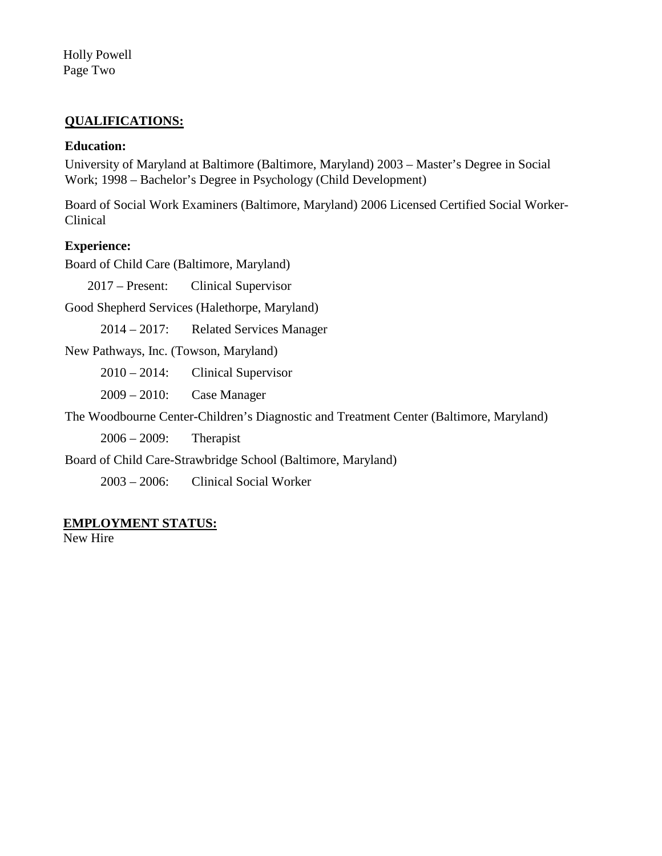Holly Powell Page Two

## **QUALIFICATIONS:**

### **Education:**

University of Maryland at Baltimore (Baltimore, Maryland) 2003 – Master's Degree in Social Work; 1998 – Bachelor's Degree in Psychology (Child Development)

Board of Social Work Examiners (Baltimore, Maryland) 2006 Licensed Certified Social Worker-Clinical

#### **Experience:**

Board of Child Care (Baltimore, Maryland)

2017 – Present: Clinical Supervisor

Good Shepherd Services (Halethorpe, Maryland)

2014 – 2017: Related Services Manager

New Pathways, Inc. (Towson, Maryland)

2010 – 2014: Clinical Supervisor

2009 – 2010: Case Manager

The Woodbourne Center-Children's Diagnostic and Treatment Center (Baltimore, Maryland)

2006 – 2009: Therapist

Board of Child Care-Strawbridge School (Baltimore, Maryland)

2003 – 2006: Clinical Social Worker

#### **EMPLOYMENT STATUS:**

New Hire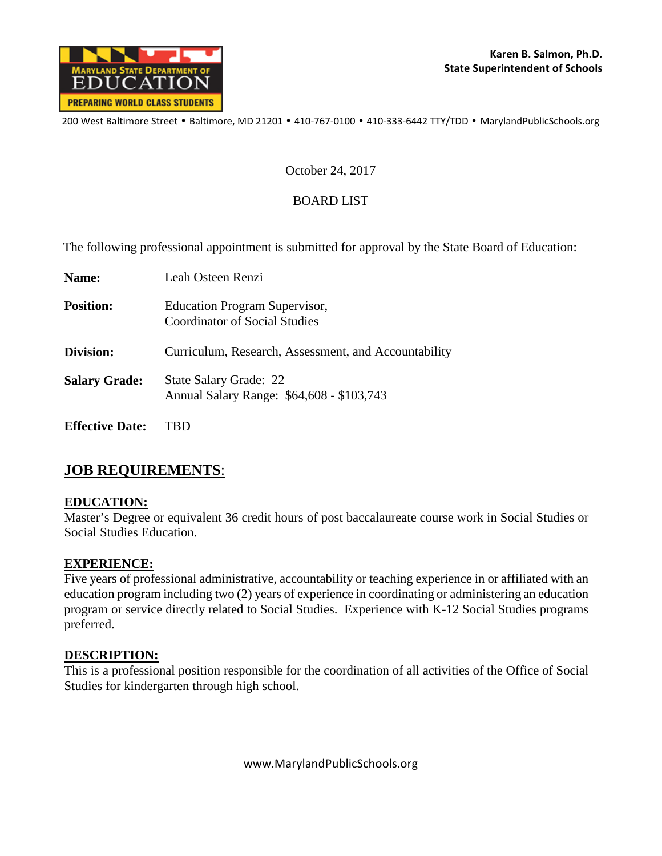

200 West Baltimore Street • Baltimore, MD 21201 • 410-767-0100 • 410-333-6442 TTY/TDD • MarylandPublicSchools.org

#### October 24, 2017

## BOARD LIST

The following professional appointment is submitted for approval by the State Board of Education:

| Name:                  | Leah Osteen Renzi                                                            |
|------------------------|------------------------------------------------------------------------------|
| <b>Position:</b>       | <b>Education Program Supervisor,</b><br><b>Coordinator of Social Studies</b> |
| Division:              | Curriculum, Research, Assessment, and Accountability                         |
| <b>Salary Grade:</b>   | <b>State Salary Grade: 22</b><br>Annual Salary Range: \$64,608 - \$103,743   |
| <b>Effective Date:</b> | 1P1                                                                          |

# **JOB REQUIREMENTS**:

## **EDUCATION:**

Master's Degree or equivalent 36 credit hours of post baccalaureate course work in Social Studies or Social Studies Education.

## **EXPERIENCE:**

Five years of professional administrative, accountability or teaching experience in or affiliated with an education program including two (2) years of experience in coordinating or administering an education program or service directly related to Social Studies. Experience with K-12 Social Studies programs preferred.

#### **DESCRIPTION:**

This is a professional position responsible for the coordination of all activities of the Office of Social Studies for kindergarten through high school.

www.MarylandPublicSchools.org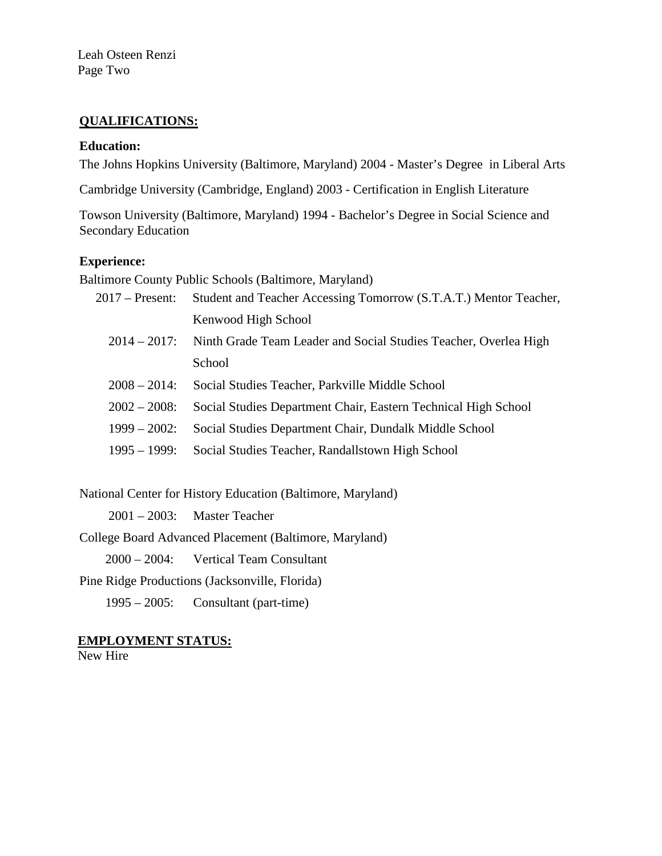Leah Osteen Renzi Page Two

## **QUALIFICATIONS:**

#### **Education:**

The Johns Hopkins University (Baltimore, Maryland) 2004 - Master's Degree in Liberal Arts

Cambridge University (Cambridge, England) 2003 - Certification in English Literature

Towson University (Baltimore, Maryland) 1994 - Bachelor's Degree in Social Science and Secondary Education

#### **Experience:**

Baltimore County Public Schools (Baltimore, Maryland)

| $2017$ – Present: | Student and Teacher Accessing Tomorrow (S.T.A.T.) Mentor Teacher, |
|-------------------|-------------------------------------------------------------------|
|                   | Kenwood High School                                               |
| $2014 - 2017$ :   | Ninth Grade Team Leader and Social Studies Teacher, Overlea High  |
|                   | School                                                            |
| $2008 - 2014$ :   | Social Studies Teacher, Parkville Middle School                   |
| $2002 - 2008$     | Social Studies Department Chair, Eastern Technical High School    |
| $1999 - 2002$     | Social Studies Department Chair, Dundalk Middle School            |
| $1995 - 1999$ :   | Social Studies Teacher, Randallstown High School                  |
|                   |                                                                   |

National Center for History Education (Baltimore, Maryland)

2001 – 2003: Master Teacher

College Board Advanced Placement (Baltimore, Maryland)

2000 – 2004: Vertical Team Consultant

Pine Ridge Productions (Jacksonville, Florida)

1995 – 2005: Consultant (part-time)

**EMPLOYMENT STATUS:**

New Hire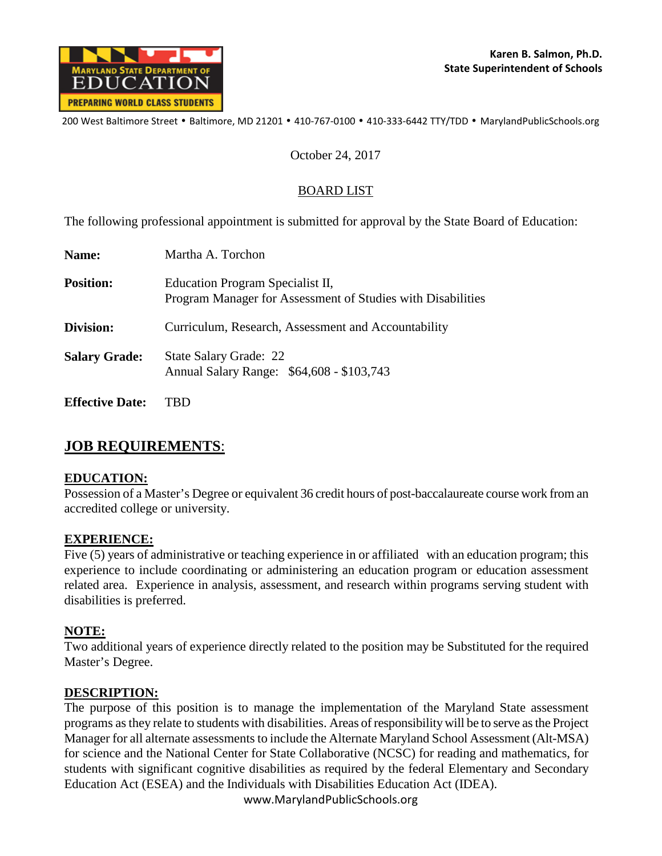

200 West Baltimore Street • Baltimore, MD 21201 • 410-767-0100 • 410-333-6442 TTY/TDD • MarylandPublicSchools.org

#### October 24, 2017

## BOARD LIST

The following professional appointment is submitted for approval by the State Board of Education:

| Name:                  | Martha A. Torchon                                                                               |
|------------------------|-------------------------------------------------------------------------------------------------|
| <b>Position:</b>       | Education Program Specialist II,<br>Program Manager for Assessment of Studies with Disabilities |
| Division:              | Curriculum, Research, Assessment and Accountability                                             |
| <b>Salary Grade:</b>   | <b>State Salary Grade: 22</b><br>Annual Salary Range: \$64,608 - \$103,743                      |
| <b>Effective Date:</b> |                                                                                                 |

# **JOB REQUIREMENTS**:

## **EDUCATION:**

Possession of a Master's Degree or equivalent 36 credit hours of post-baccalaureate course work from an accredited college or university.

#### **EXPERIENCE:**

Five (5) years of administrative or teaching experience in or affiliated with an education program; this experience to include coordinating or administering an education program or education assessment related area. Experience in analysis, assessment, and research within programs serving student with disabilities is preferred.

## **NOTE:**

Two additional years of experience directly related to the position may be Substituted for the required Master's Degree.

## **DESCRIPTION:**

The purpose of this position is to manage the implementation of the Maryland State assessment programs as they relate to students with disabilities. Areas of responsibility will be to serve as the Project Manager for all alternate assessments to include the Alternate Maryland School Assessment (Alt-MSA) for science and the National Center for State Collaborative (NCSC) for reading and mathematics, for students with significant cognitive disabilities as required by the federal Elementary and Secondary Education Act (ESEA) and the Individuals with Disabilities Education Act (IDEA).

www.MarylandPublicSchools.org